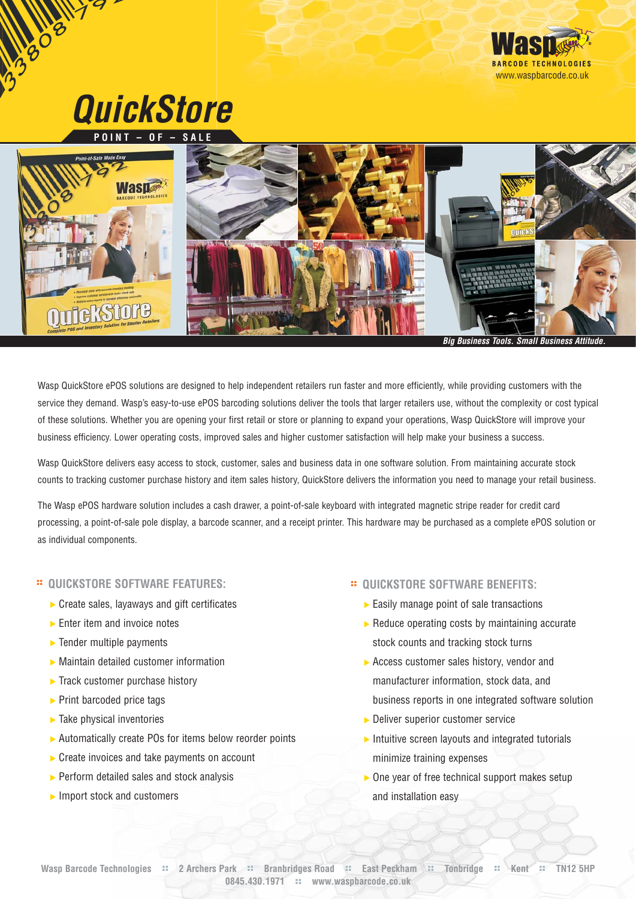

**Big Business Tools. Small Business Attitude.** 

Wasp QuickStore ePOS solutions are designed to help independent retailers run faster and more efficiently, while providing customers with the service they demand. Wasp's easy-to-use ePOS barcoding solutions deliver the tools that larger retailers use, without the complexity or cost typical of these solutions. Whether you are opening your first retail or store or planning to expand your operations, Wasp QuickStore will improve your business efficiency. Lower operating costs, improved sales and higher customer satisfaction will help make your business a success.

Wasp QuickStore delivers easy access to stock, customer, sales and business data in one software solution. From maintaining accurate stock counts to tracking customer purchase history and item sales history, QuickStore delivers the information you need to manage your retail business.

The Wasp ePOS hardware solution includes a cash drawer, a point-of-sale keyboard with integrated magnetic stripe reader for credit card processing, a point-of-sale pole display, a barcode scanner, and a receipt printer. This hardware may be purchased as a complete ePOS solution or as individual components.

## **:: QUICKSTORE SOFTWARE FEATURES:**

- ▶ Create sales, layaways and gift certificates
- $\blacktriangleright$  Enter item and invoice notes
- $\blacktriangleright$  Tender multiple payments
- Maintain detailed customer information
- $\blacktriangleright$  Track customer purchase history
- $\blacktriangleright$  Print barcoded price tags
- $\blacktriangleright$  Take physical inventories
- ▶ Automatically create POs for items below reorder points
- ▶ Create invoices and take payments on account
- $\triangleright$  Perform detailed sales and stock analysis
- $\blacktriangleright$  Import stock and customers

#### **:: QUICKSTORE SOFTWARE BENEFITS:**

- $\triangleright$  Easily manage point of sale transactions
- $\blacktriangleright$  Reduce operating costs by maintaining accurate stock counts and tracking stock turns
- Access customer sales history, vendor and manufacturer information, stock data, and business reports in one integrated software solution
- **Deliver superior customer service**
- $\blacktriangleright$  Intuitive screen layouts and integrated tutorials minimize training expenses
- $\triangleright$  One year of free technical support makes setup and installation easy